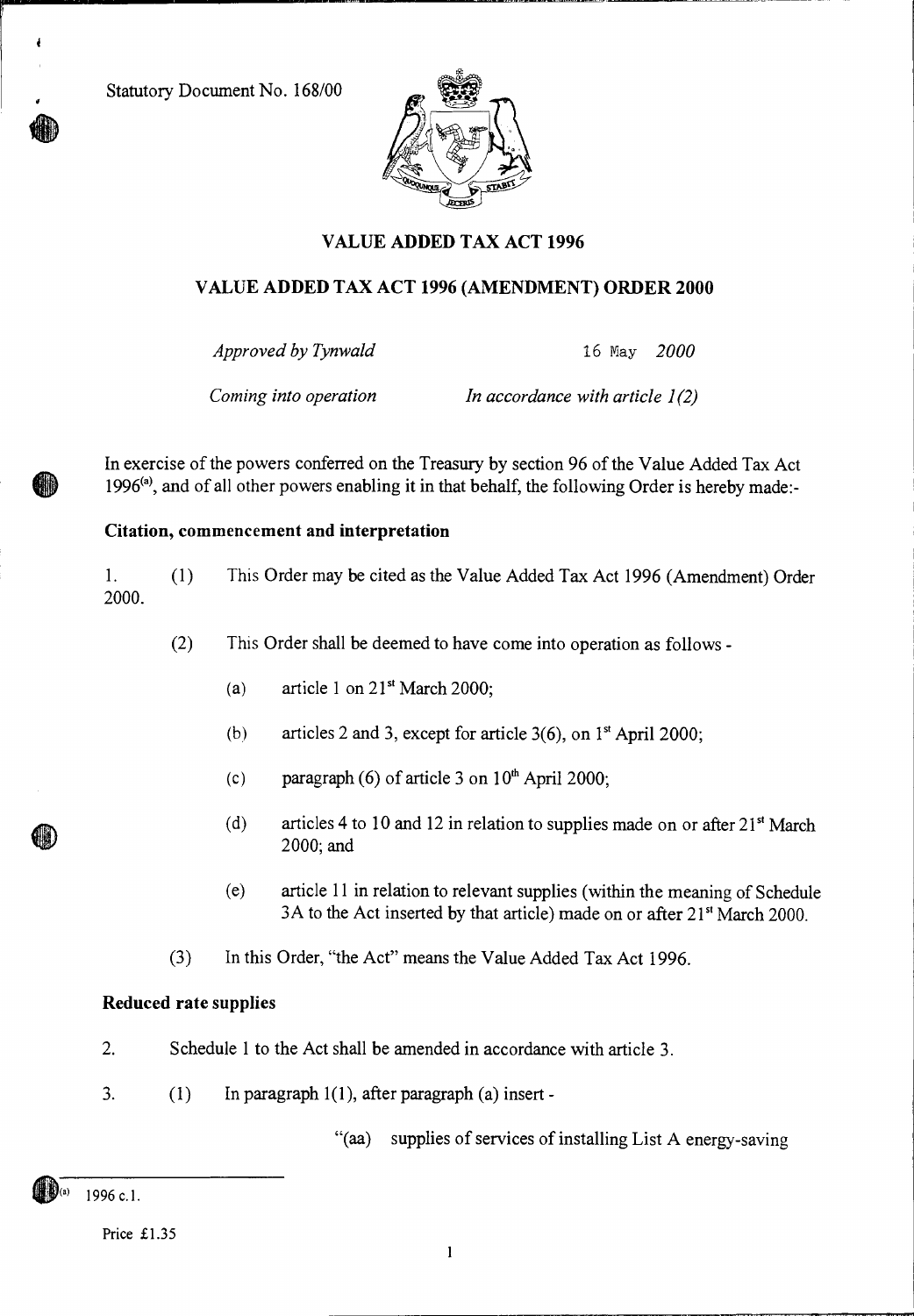Statutory Document No. 168/00

ł



# **VALUE ADDED TAX ACT 1996**

## **VALUE ADDED TAX ACT 1996 (AMENDMENT) ORDER 2000**

*Approved by Tynwald* 16 May *2000* 

*Coming into operation In accordance with article 1(2)* 

In exercise of the powers conferred on the Treasury by section 96 of the Value Added Tax Act 1996<sup>(a)</sup>, and of all other powers enabling it in that behalf, the following Order is hereby made:-

## **Citation, commencement and interpretation**

1. (1) This Order may be cited as the Value Added Tax Act 1996 (Amendment) Order 2000.

(2) This Order shall be deemed to have come into operation as follows -

- (a) article 1 on  $21<sup>st</sup>$  March 2000;
- (b) articles 2 and 3, except for article  $3(6)$ , on  $1<sup>st</sup>$  April 2000;
- (c) paragraph (6) of article 3 on  $10<sup>th</sup>$  April 2000;
- (d) articles 4 to 10 and 12 in relation to supplies made on or after  $21<sup>st</sup> March$ 2000; and
- (e) article 11 in relation to relevant supplies (within the meaning of Schedule 3A to the Act inserted by that article) made on or after  $21<sup>st</sup>$  March 2000.
- (3) In this Order, "the Act" means the Value Added Tax Act 1996.

### **Reduced rate supplies**

- 2. Schedule 1 to the Act shall be amended in accordance with article 3.
- 3. (1) In paragraph 1(1), after paragraph (a) insert -

"(aa) supplies of services of installing List A energy-saving

1996 c.1.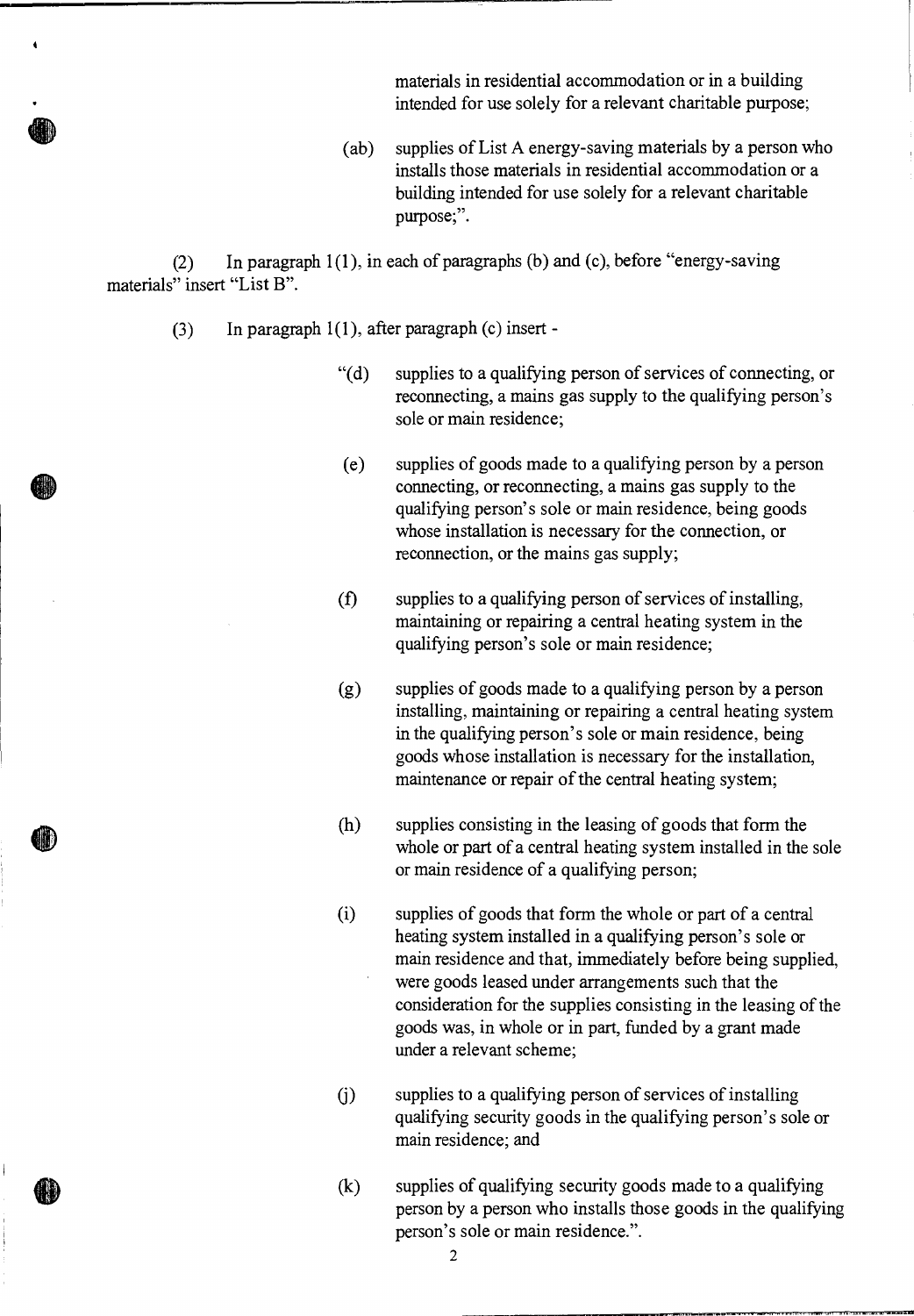materials in residential accommodation or in a building intended for use solely for a relevant charitable purpose;

(ab) supplies of List A energy-saving materials by a person who installs those materials in residential accommodation or a building intended for use solely for a relevant charitable purpose;".

(2) In paragraph 1(1), in each of paragraphs (b) and (c), before "energy-saving materials" insert "List B".

- (3) In paragraph 1(1), after paragraph (c) insert
	- "(d) supplies to a qualifying person of services of connecting, or reconnecting, a mains gas supply to the qualifying person's sole or main residence;
	- (e) supplies of goods made to a qualifying person by a person connecting, or reconnecting, a mains gas supply to the qualifying person's sole or main residence, being goods whose installation is necessary for the connection, or reconnection, or the mains gas supply;
	- (f) supplies to a qualifying person of services of installing, maintaining or repairing a central heating system in the qualifying person's sole or main residence;
	- (g) supplies of goods made to a qualifying person by a person installing, maintaining or repairing a central heating system in the qualifying person's sole or main residence, being goods whose installation is necessary for the installation, maintenance or repair of the central heating system;
	- (h) supplies consisting in the leasing of goods that form the whole or part of a central heating system installed in the sole or main residence of a qualifying person;
	- (i) supplies of goods that form the whole or part of a central heating system installed in a qualifying person's sole or main residence and that, immediately before being supplied, were goods leased under arrangements such that the consideration for the supplies consisting in the leasing of the goods was, in whole or in part, funded by a grant made under a relevant scheme;
	- (j) supplies to a qualifying person of services of installing qualifying security goods in the qualifying person's sole or main residence; and
	- (k) supplies of qualifying security goods made to a qualifying person by a person who installs those goods in the qualifying person's sole or main residence.".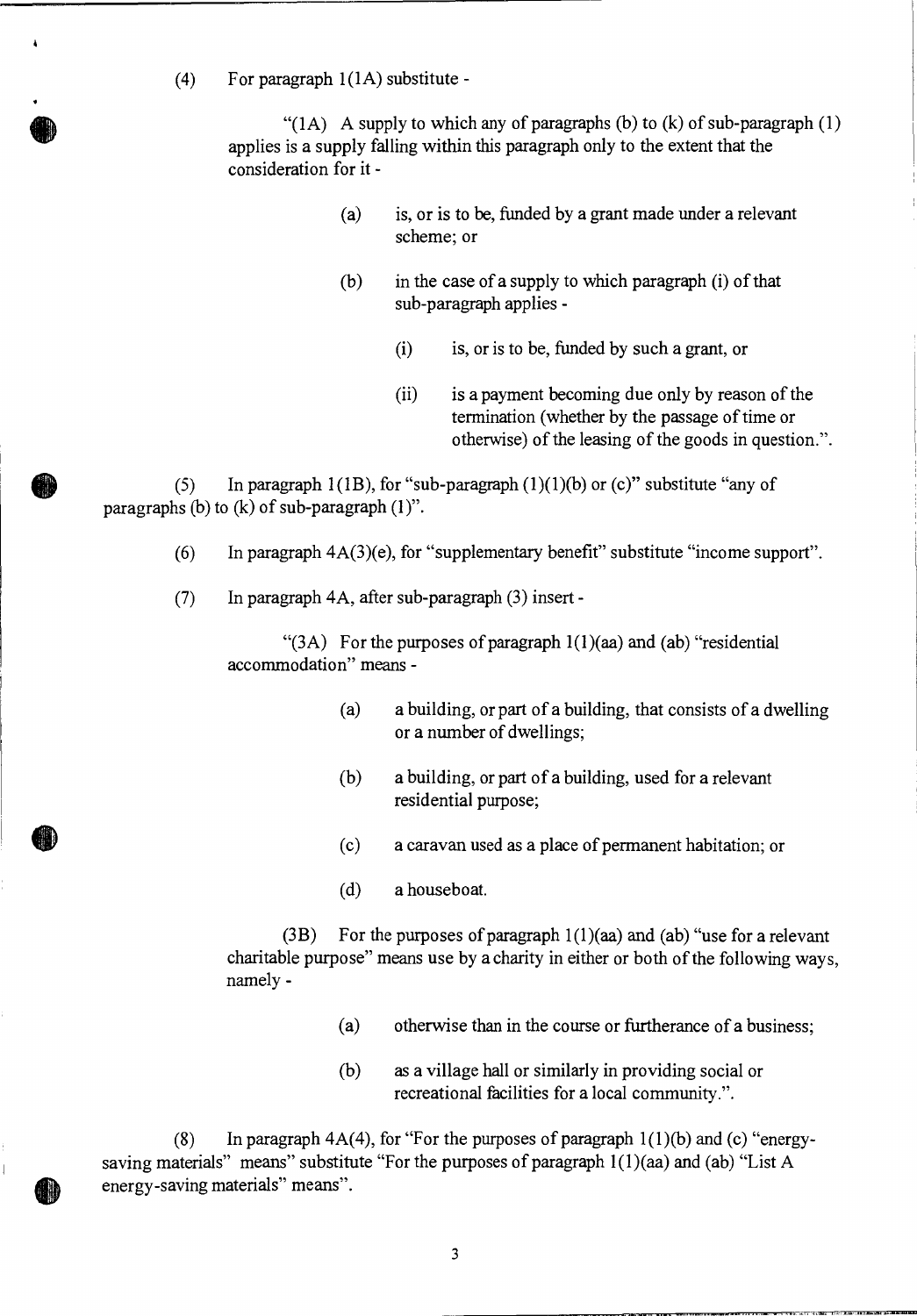(4) For paragraph 1(1A) substitute -

 $\lambda$ 

" $(1A)$  A supply to which any of paragraphs (b) to (k) of sub-paragraph (1) applies is a supply falling within this paragraph only to the extent that the consideration for it -

- (a) is, or is to be, funded by a grant made under a relevant scheme; or
- (b) in the case of a supply to which paragraph (i) of that sub-paragraph applies -
	- (i) is, or is to be, funded by such a grant, or
	- (ii) is a payment becoming due only by reason of the termination (whether by the passage of time or otherwise) of the leasing of the goods in question.".

(5) In paragraph  $1(1B)$ , for "sub-paragraph  $(1)(1)(b)$  or (c)" substitute "any of paragraphs (b) to (k) of sub-paragraph (1)".

- (6) In paragraph  $4A(3)(e)$ , for "supplementary benefit" substitute "income support".
- (7) In paragraph 4A, after sub-paragraph (3) insert -

"(3A) For the purposes of paragraph 1(1)(aa) and (ab) "residential accommodation" means -

- (a) a building, or part of a building, that consists of a dwelling or a number of dwellings;
- (b) a building, or part of a building, used for a relevant residential purpose;
- (c) a caravan used as a place of permanent habitation; or
- (d) a houseboat.

(3B) For the purposes of paragraph 1(1)(aa) and (ab) "use for a relevant charitable purpose" means use by a charity in either or both of the following ways, namely -

- (a) otherwise than in the course or furtherance of a business;
- (b) as a village hall or similarly in providing social or recreational facilities for a local community.".

(8) In paragraph  $4A(4)$ , for "For the purposes of paragraph  $1(1)(b)$  and (c) "energysaving materials" means" substitute "For the purposes of paragraph  $1(1)(aa)$  and (ab) "List A energy-saving materials" means".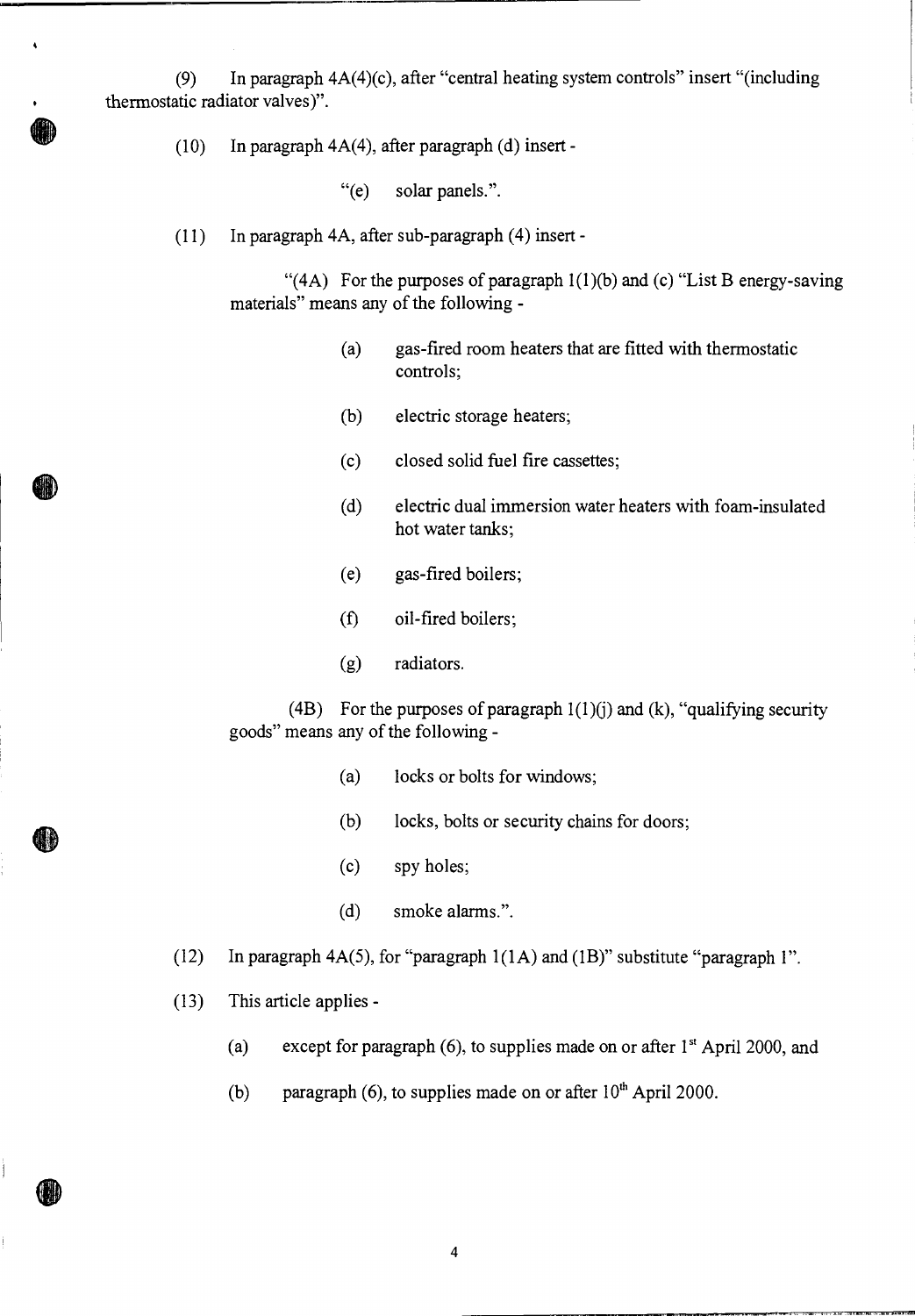(9) In paragraph 4A(4)(c), after "central heating system controls" insert "(including thermostatic radiator valves)".

(10) In paragraph  $4A(4)$ , after paragraph (d) insert -

 $\ddot{\phantom{0}}$ 

H.

"(e) solar panels.".

(11) In paragraph 4A, after sub-paragraph (4) insert -

"(4A) For the purposes of paragraph  $1(1)(b)$  and (c) "List B energy-saving materials" means any of the following -

- (a) gas-fired room heaters that are fitted with thermostatic controls;
- (b) electric storage heaters;
- (c) closed solid fuel fire cassettes;
- (d) electric dual immersion water heaters with foam-insulated hot water tanks;
- (e) gas-fired boilers;
- (f) oil-fired boilers;
- (g) radiators.

(4B) For the purposes of paragraph  $1(1)(j)$  and  $(k)$ , "qualifying security goods" means any of the following -

- (a) locks or bolts for windows;
- (b) locks, bolts or security chains for doors;
- (c) spy holes;
- (d) smoke alarms.".
- (12) In paragraph 4A(5), for "paragraph 1(1A) and (1B)" substitute "paragraph 1".
- (13) This article applies
	- (a) except for paragraph (6), to supplies made on or after  $1<sup>st</sup>$  April 2000, and
	- (b) paragraph (6), to supplies made on or after  $10<sup>th</sup>$  April 2000.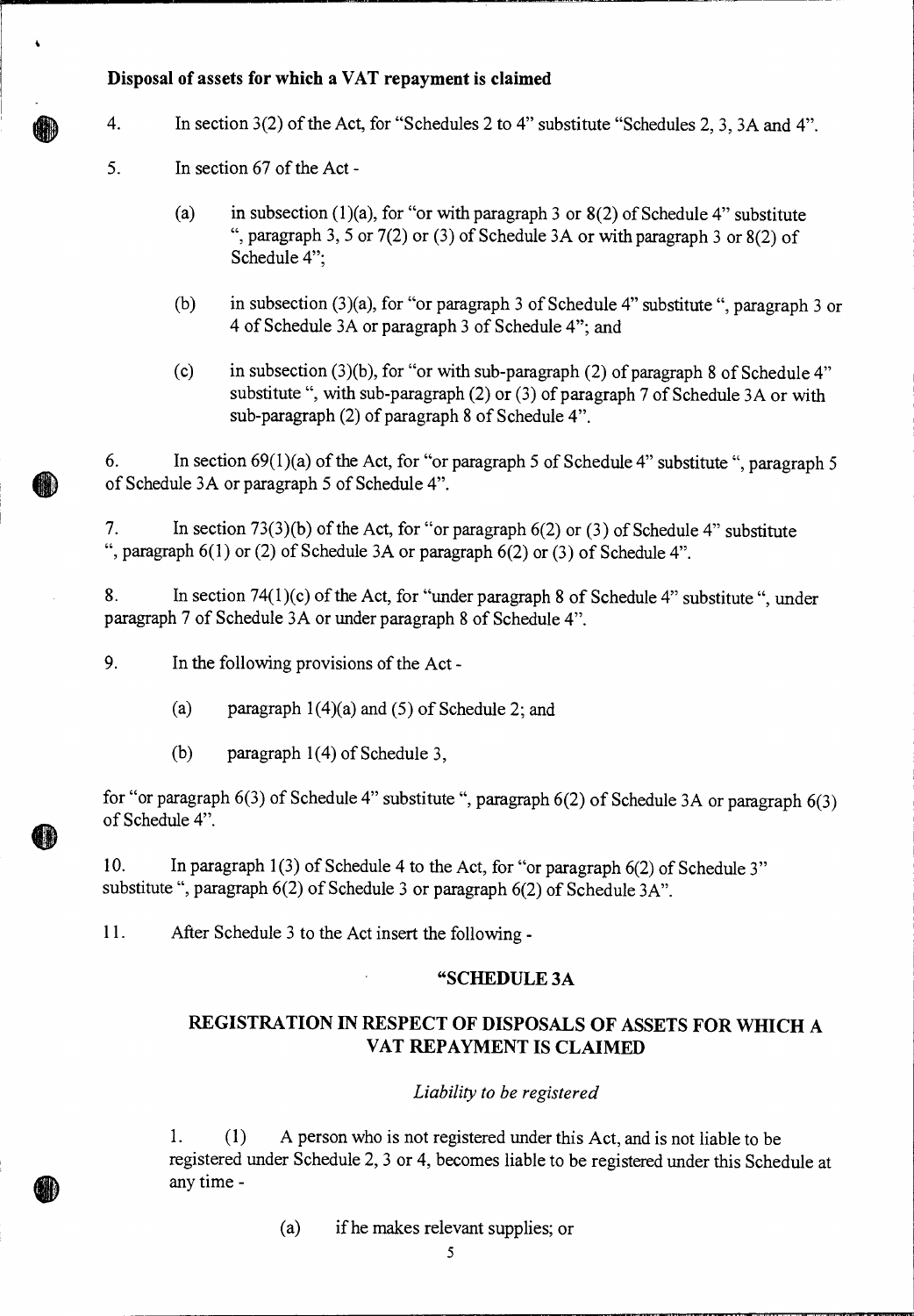## **Disposal of assets for which a VAT repayment is claimed**

- 4. In section 3(2) of the Act, for "Schedules 2 to 4" substitute "Schedules 2, 3, 3A and 4".
	- 5. In section 67 of the Act
		- (a) in subsection (1)(a), for "or with paragraph 3 or  $8(2)$  of Schedule 4" substitute ", paragraph 3, 5 or  $7(2)$  or  $(3)$  of Schedule 3A or with paragraph 3 or  $8(2)$  of Schedule 4";
		- (b) in subsection (3)(a), for "or paragraph 3 of Schedule 4" substitute ", paragraph 3 or 4 of Schedule 3A or paragraph 3 of Schedule 4"; and
		- (c) in subsection (3)(b), for "or with sub-paragraph (2) of paragraph 8 of Schedule 4" substitute ", with sub-paragraph (2) or (3) of paragraph 7 of Schedule 3A or with sub-paragraph (2) of paragraph 8 of Schedule 4".

6. In section  $69(1)(a)$  of the Act, for "or paragraph 5 of Schedule 4" substitute ", paragraph 5 of Schedule 3A or paragraph 5 of Schedule 4".

7. In section 73(3)(b) of the Act, for "or paragraph 6(2) or (3) of Schedule 4" substitute ", paragraph  $6(1)$  or (2) of Schedule 3A or paragraph  $6(2)$  or (3) of Schedule 4".

8. In section 74(1)(c) of the Act, for "under paragraph 8 of Schedule 4" substitute ", under paragraph 7 of Schedule 3A or under paragraph 8 of Schedule 4".

9. In the following provisions of the Act -

(a) paragraph  $1(4)(a)$  and (5) of Schedule 2; and

(b) paragraph 1(4) of Schedule 3,

for "or paragraph 6(3) of Schedule 4" substitute ", paragraph 6(2) of Schedule 3A or paragraph 6(3) of Schedule 4".

10. In paragraph 1(3) of Schedule 4 to the Act, for "or paragraph 6(2) of Schedule 3" substitute ", paragraph 6(2) of Schedule 3 or paragraph 6(2) of Schedule 3A".

11. After Schedule 3 to the Act insert the following -

### **"SCHEDULE 3A**

# **REGISTRATION IN RESPECT OF DISPOSALS OF ASSETS FOR WHICH A VAT REPAYMENT IS CLAIMED**

### *Liability to be registered*

1. (1) A person who is not registered under this Act, and is not liable to be registered under Schedule 2, 3 or 4, becomes liable to be registered under this Schedule at any time -

(a) if he makes relevant supplies; or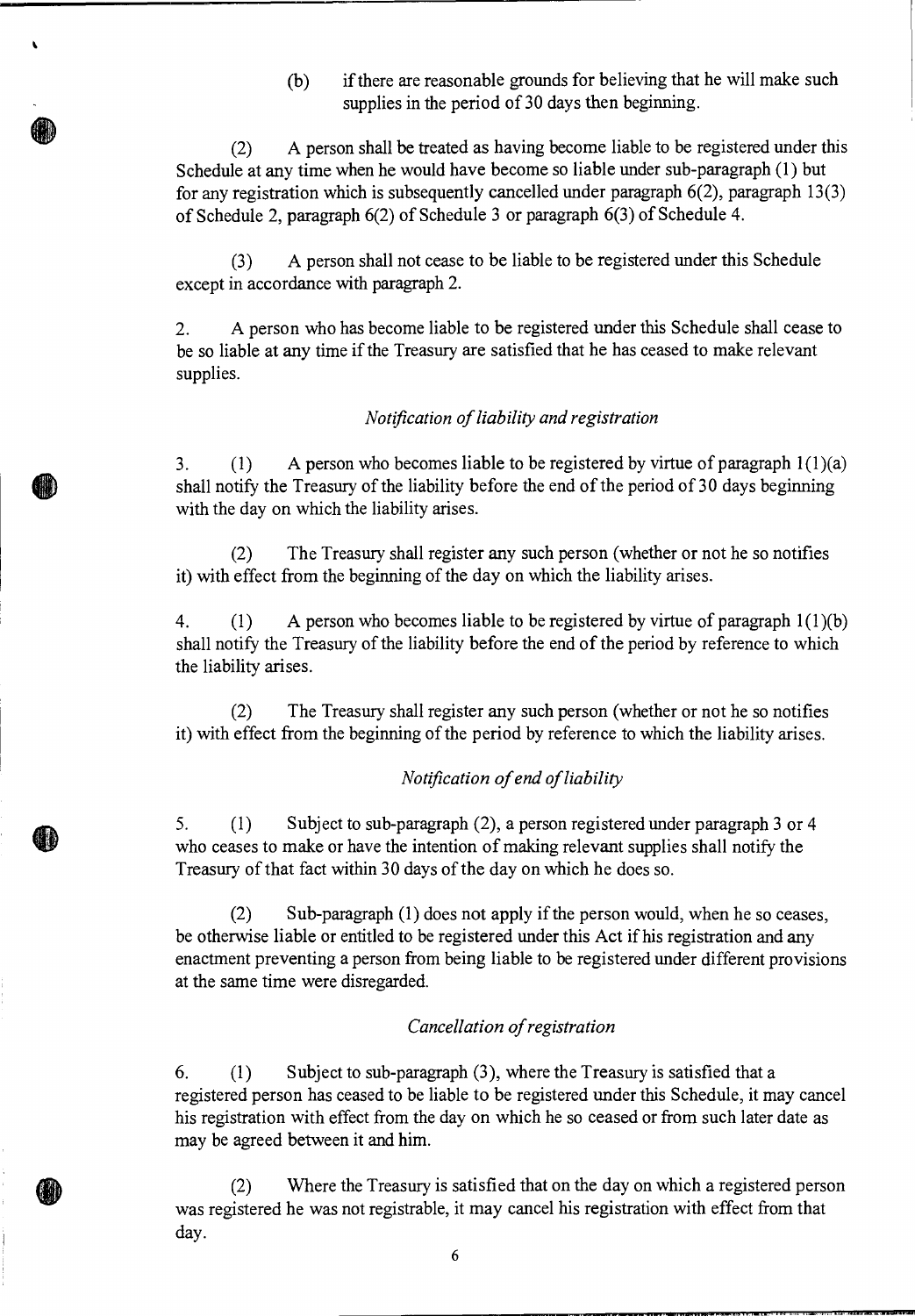(b) if there are reasonable grounds for believing that he will make such supplies in the period of 30 days then beginning.

(2) A person shall be treated as having become liable to be registered under this Schedule at any time when he would have become so liable under sub-paragraph (1) but for any registration which is subsequently cancelled under paragraph  $6(2)$ , paragraph  $13(3)$ of Schedule 2, paragraph 6(2) of Schedule 3 or paragraph 6(3) of Schedule 4.

**k** 

**d** 

(3) A person shall not cease to be liable to be registered under this Schedule except in accordance with paragraph 2.

2. A person who has become liable to be registered under this Schedule shall cease to be so liable at any time if the Treasury are satisfied that he has ceased to make relevant supplies.

### *Notification of liability and registration*

3. (1) A person who becomes liable to be registered by virtue of paragraph 1(1)(a) shall notify the Treasury of the liability before the end of the period of 30 days beginning with the day on which the liability arises.

(2) The Treasury shall register any such person (whether or not he so notifies it) with effect from the beginning of the day on which the liability arises.

4. (1) A person who becomes liable to be registered by virtue of paragraph 1(1)(b) shall notify the Treasury of the liability before the end of the period by reference to which the liability arises.

(2) The Treasury shall register any such person (whether or not he so notifies it) with effect from the beginning of the period by reference to which the liability arises.

### *Notification of end of liability*

*5. (1)* Subject to sub-paragraph (2), a person registered under paragraph 3 or 4 who ceases to make or have the intention of making relevant supplies shall notify the Treasury of that fact within 30 days of the day on which he does so.

(2) Sub-paragraph (1) does not apply if the person would, when he so ceases, be otherwise liable or entitled to be registered under this Act if his registration and any enactment preventing a person from being liable to be registered under different provisions at the same time were disregarded.

#### *Cancellation of registration*

6. (1) Subject to sub-paragraph (3), where the Treasury is satisfied that a registered person has ceased to be liable to be registered under this Schedule, it may cancel his registration with effect from the day on which he so ceased or from such later date as may be agreed between it and him.

(2) Where the Treasury is satisfied that on the day on which a registered person was registered he was not registrable, it may cancel his registration with effect from that day.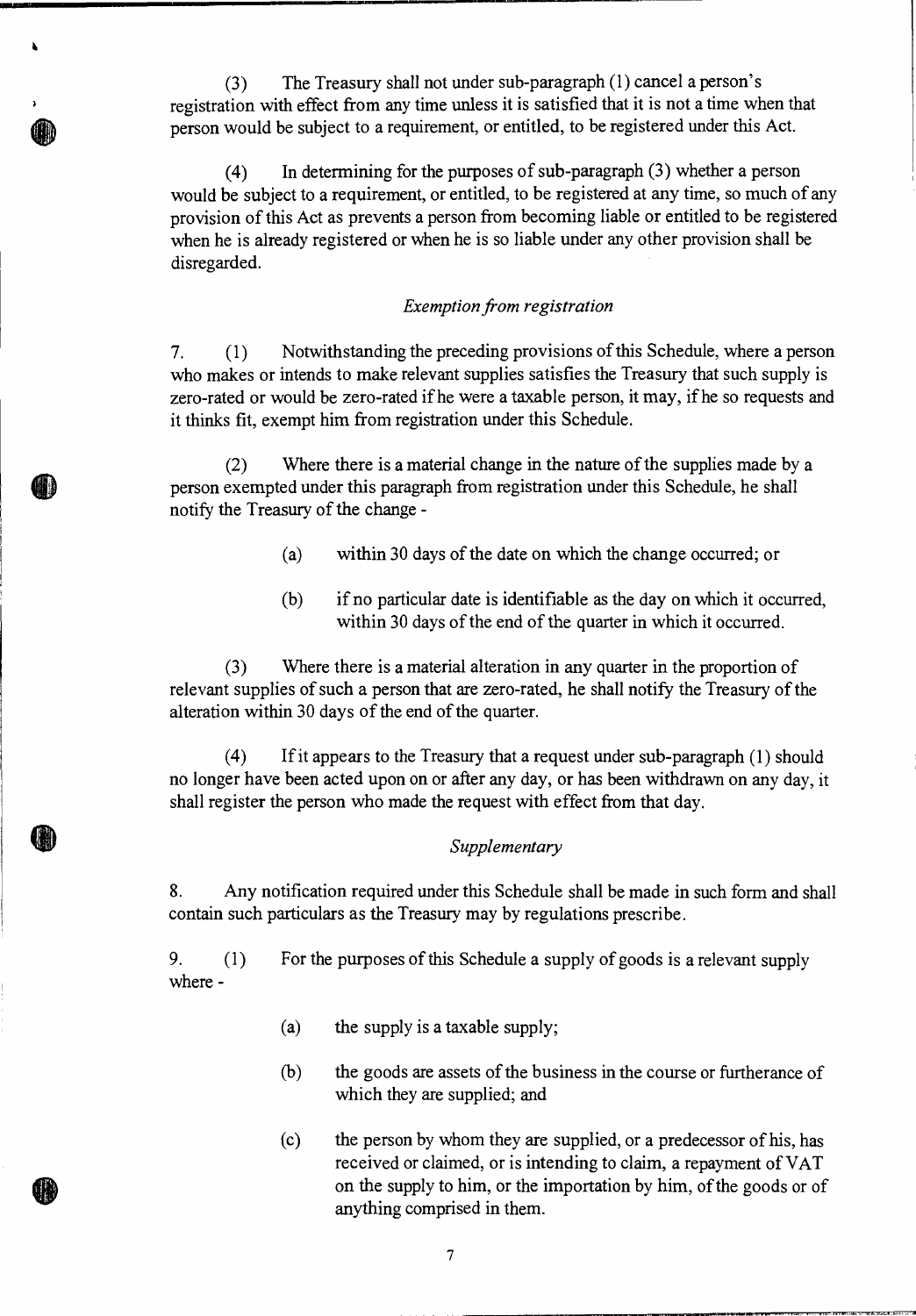(3) The Treasury shall not under sub-paragraph (1) cancel a person's registration with effect from any time unless it is satisfied that it is not a time when that person would be subject to a requirement, or entitled, to be registered under this Act.

ò

(4) In determining for the purposes of sub-paragraph (3) whether a person would be subject to a requirement, or entitled, to be registered at any time, so much of any provision of this Act as prevents a person from becoming liable or entitled to be registered when he is already registered or when he is so liable under any other provision shall be disregarded.

#### *Exemption from registration*

*7. (1)* Notwithstanding the preceding provisions of this Schedule, where a person who makes or intends to make relevant supplies satisfies the Treasury that such supply is zero-rated or would be zero-rated if he were a taxable person, it may, if he so requests and it thinks fit, exempt him from registration under this Schedule.

(2) Where there is a material change in the nature of the supplies made by a person exempted under this paragraph from registration under this Schedule, he shall notify the Treasury of the change -

- (a) within 30 days of the date on which the change occurred; or
- (b) if no particular date is identifiable as the day on which it occurred, within 30 days of the end of the quarter in which it occurred.

(3 ) Where there is a material alteration in any quarter in the proportion of relevant supplies of such a person that are zero-rated, he shall notify the Treasury of the alteration within 30 days of the end of the quarter.

(4) If it appears to the Treasury that a request under sub-paragraph (1) should no longer have been acted upon on or after any day, or has been withdrawn on any day, it shall register the person who made the request with effect from that day.

#### *Supplementary*

8. Any notification required under this Schedule shall be made in such form and shall contain such particulars as the Treasury may by regulations prescribe.

9. (1) For the purposes of this Schedule a supply of goods is a relevant supply where -

- (a) the supply is a taxable supply;
- (b) the goods are assets of the business in the course or furtherance of which they are supplied; and
- (c) the person by whom they are supplied, or a predecessor of his, has received or claimed, or is intending to claim, a repayment of VAT on the supply to him, or the importation by him, of the goods or of anything comprised in them.

7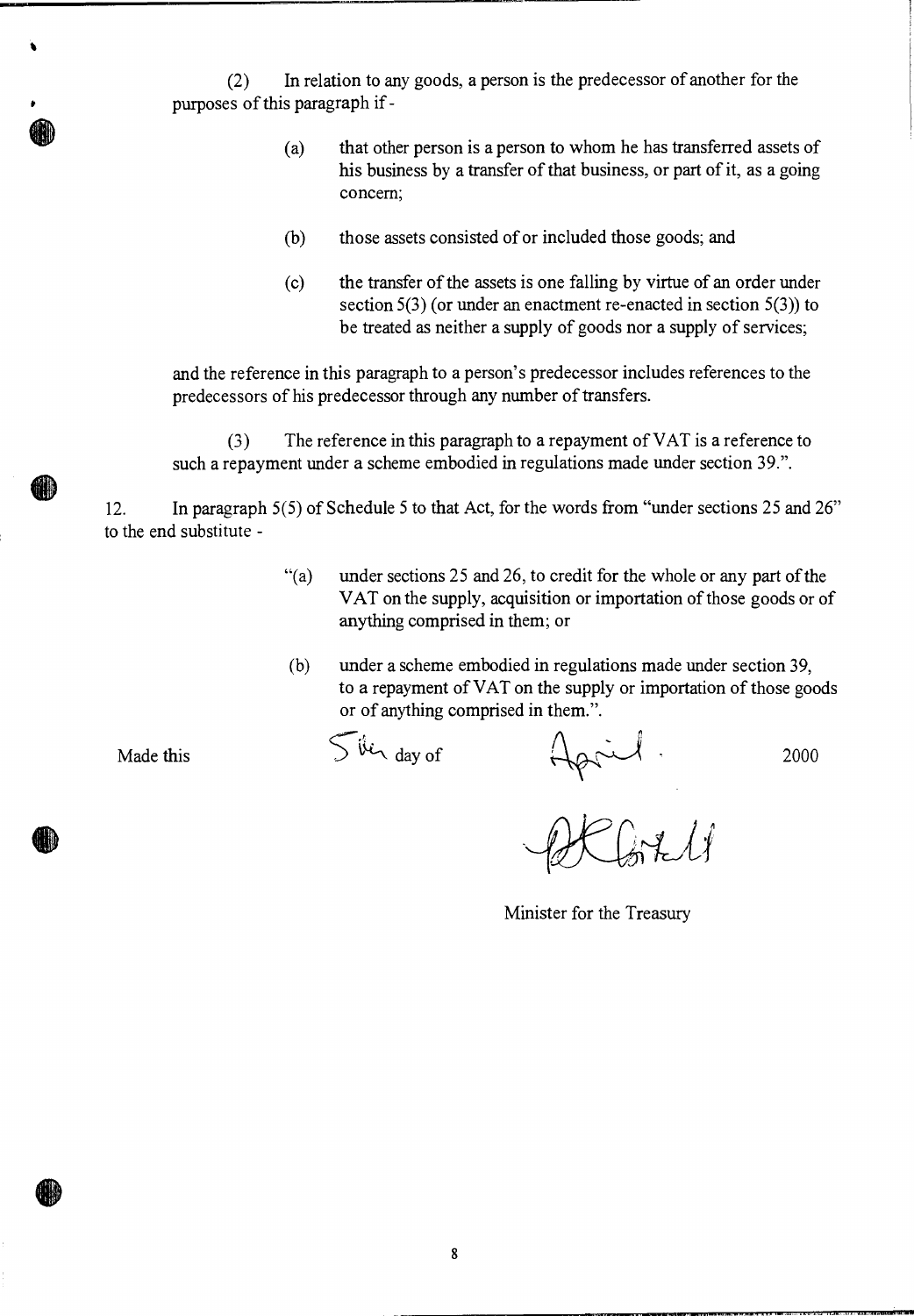(2) In relation to any goods, a person is the predecessor of another for the purposes of this paragraph if -

- (a) that other person is a person to whom he has transferred assets of his business by a transfer of that business, or part of it, as a going concern;
- (b) those assets consisted of or included those goods; and
- (c) the transfer of the assets is one falling by virtue of an order under section 5(3) (or under an enactment re-enacted in section 5(3)) to be treated as neither a supply of goods nor a supply of services;

and the reference in this paragraph to a person's predecessor includes references to the predecessors of his predecessor through any number of transfers.

(3) The reference in this paragraph to a repayment of VAT is a reference to such a repayment under a scheme embodied in regulations made under section 39.".

12. In paragraph 5(5) of Schedule 5 to that Act, for the words from "under sections 25 and 26" to the end substitute -

- "(a) under sections 25 and 26, to credit for the whole or any part of the VAT on the supply, acquisition or importation of those goods or of anything comprised in them; or
- (b) under a scheme embodied in regulations made under section 39, to a repayment of VAT on the supply or importation of those goods or of anything comprised in them.".

Made this

Jerayof April<br>DKGALI

Minister for the Treasury